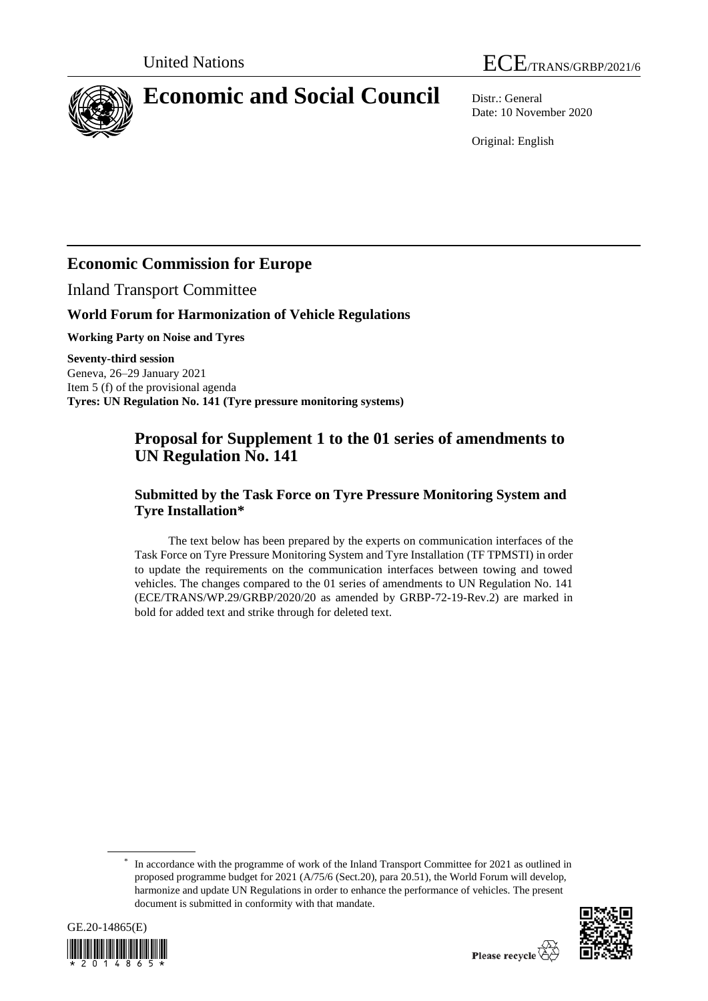

# **Economic and Social Council** Distr.: General

Date: 10 November 2020

Original: English

# **Economic Commission for Europe**

Inland Transport Committee

### **World Forum for Harmonization of Vehicle Regulations**

**Working Party on Noise and Tyres**

**Seventy-third session**  Geneva, 26–29 January 2021 Item 5 (f) of the provisional agenda **Tyres: UN Regulation No. 141 (Tyre pressure monitoring systems)**

## **Proposal for Supplement 1 to the 01 series of amendments to UN Regulation No. 141**

### **Submitted by the Task Force on Tyre Pressure Monitoring System and Tyre Installation\***

The text below has been prepared by the experts on communication interfaces of the Task Force on Tyre Pressure Monitoring System and Tyre Installation (TF TPMSTI) in order to update the requirements on the communication interfaces between towing and towed vehicles. The changes compared to the 01 series of amendments to UN Regulation No. 141 (ECE/TRANS/WP.29/GRBP/2020/20 as amended by GRBP-72-19-Rev.2) are marked in bold for added text and strike through for deleted text.

<sup>\*</sup> In accordance with the programme of work of the Inland Transport Committee for 2021 as outlined in proposed programme budget for 2021 (A/75/6 (Sect.20), para 20.51), the World Forum will develop, harmonize and update UN Regulations in order to enhance the performance of vehicles. The present document is submitted in conformity with that mandate.



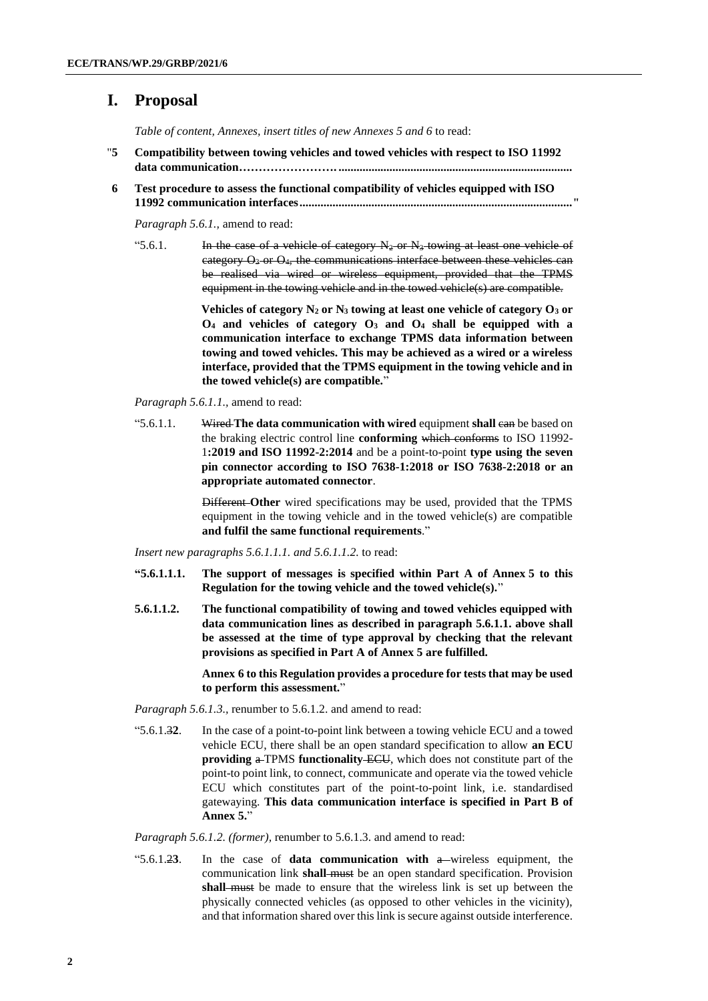### **I. Proposal**

*Table of content, Annexes, insert titles of new Annexes 5 and 6* to read:

- "**5 Compatibility between towing vehicles and towed vehicles with respect to ISO 11992 data communication……………………. ..............................................................................**
- **6 Test procedure to assess the functional compatibility of vehicles equipped with ISO 11992 communication interfaces..........................................................................................."**

*Paragraph 5.6.1.,* amend to read:

"5.6.1. In the case of a vehicle of category  $N_2$  or  $N_3$  towing at least one vehicle of category  $\Theta_3$  or  $\Theta_4$ , the communications interface between these vehicles can be realised via wired or wireless equipment, provided that the TPMS equipment in the towing vehicle and in the towed vehicle(s) are compatible.

> **Vehicles of category N<sup>2</sup> or N<sup>3</sup> towing at least one vehicle of category O<sup>3</sup> or O<sup>4</sup> and vehicles of category O<sup>3</sup> and O<sup>4</sup> shall be equipped with a communication interface to exchange TPMS data information between towing and towed vehicles. This may be achieved as a wired or a wireless interface, provided that the TPMS equipment in the towing vehicle and in the towed vehicle(s) are compatible.**"

*Paragraph 5.6.1.1.,* amend to read:

"5.6.1.1. Wired The data communication with wired equipment shall can be based on the braking electric control line **conforming** which conforms to ISO 11992- 1**:2019 and ISO 11992-2:2014** and be a point-to-point **type using the seven pin connector according to ISO 7638-1:2018 or ISO 7638-2:2018 or an appropriate automated connector**.

> Different **Other** wired specifications may be used, provided that the TPMS equipment in the towing vehicle and in the towed vehicle(s) are compatible **and fulfil the same functional requirements**."

*Insert new paragraphs 5.6.1.1.1. and 5.6.1.1.2.* to read:

- **"5.6.1.1.1. The support of messages is specified within Part A of Annex 5 to this Regulation for the towing vehicle and the towed vehicle(s).**"
- **5.6.1.1.2. The functional compatibility of towing and towed vehicles equipped with data communication lines as described in paragraph 5.6.1.1. above shall be assessed at the time of type approval by checking that the relevant provisions as specified in Part A of Annex 5 are fulfilled.**

**Annex 6 to this Regulation provides a procedure for tests that may be used to perform this assessment.**"

*Paragraph 5.6.1.3.,* renumber to 5.6.1.2. and amend to read:

"5.6.1.3**2**. In the case of a point-to-point link between a towing vehicle ECU and a towed vehicle ECU, there shall be an open standard specification to allow **an ECU providing a** TPMS **functionality** ECU, which does not constitute part of the point-to point link, to connect, communicate and operate via the towed vehicle ECU which constitutes part of the point-to-point link, i.e. standardised gatewaying. **This data communication interface is specified in Part B of Annex 5.**"

*Paragraph 5.6.1.2. (former),* renumber to 5.6.1.3. and amend to read:

"5.6.1.2**3**. In the case of **data communication with** a wireless equipment, the communication link **shall** must be an open standard specification. Provision **shall** must be made to ensure that the wireless link is set up between the physically connected vehicles (as opposed to other vehicles in the vicinity), and that information shared over this link is secure against outside interference.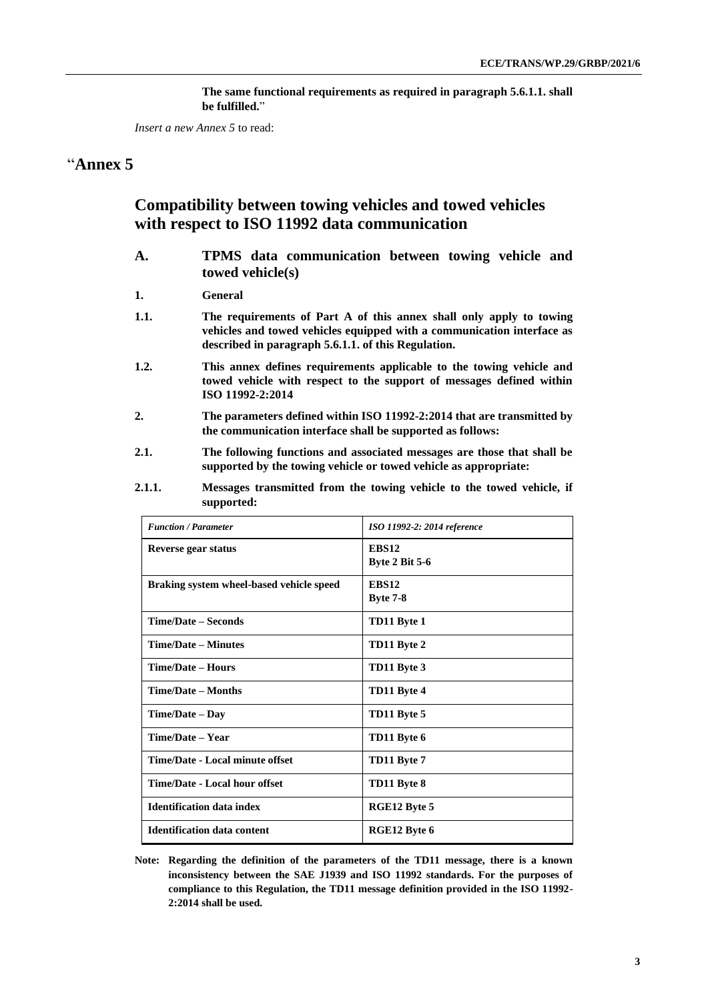**The same functional requirements as required in paragraph 5.6.1.1. shall be fulfilled.**"

*Insert a new Annex 5* to read:

### "**Annex 5**

### **Compatibility between towing vehicles and towed vehicles with respect to ISO 11992 data communication**

- **A. TPMS data communication between towing vehicle and towed vehicle(s)**
- **1. General**
- **1.1. The requirements of Part A of this annex shall only apply to towing vehicles and towed vehicles equipped with a communication interface as described in paragraph 5.6.1.1. of this Regulation.**
- **1.2. This annex defines requirements applicable to the towing vehicle and towed vehicle with respect to the support of messages defined within ISO 11992-2:2014**
- **2. The parameters defined within ISO 11992-2:2014 that are transmitted by the communication interface shall be supported as follows:**
- **2.1. The following functions and associated messages are those that shall be supported by the towing vehicle or towed vehicle as appropriate:**
- **2.1.1. Messages transmitted from the towing vehicle to the towed vehicle, if supported:**

| <b>Function / Parameter</b>              | ISO 11992-2: 2014 reference     |
|------------------------------------------|---------------------------------|
| Reverse gear status                      | EBS12<br><b>Byte 2 Bit 5-6</b>  |
| Braking system wheel-based vehicle speed | <b>EBS12</b><br><b>Byte 7-8</b> |
| <b>Time/Date – Seconds</b>               | TD11 Byte 1                     |
| <b>Time/Date – Minutes</b>               | TD11 Byte 2                     |
| <b>Time/Date - Hours</b>                 | TD11 Byte 3                     |
| Time/Date - Months                       | TD11 Byte 4                     |
| Time/Date - Day                          | TD11 Byte 5                     |
| Time/Date - Year                         | TD11 Byte 6                     |
| Time/Date - Local minute offset          | TD11 Byte 7                     |
| <b>Time/Date - Local hour offset</b>     | TD11 Byte 8                     |
| <b>Identification data index</b>         | RGE12 Byte 5                    |
| <b>Identification data content</b>       | RGE12 Byte 6                    |

**Note: Regarding the definition of the parameters of the TD11 message, there is a known inconsistency between the SAE J1939 and ISO 11992 standards. For the purposes of compliance to this Regulation, the TD11 message definition provided in the ISO 11992- 2:2014 shall be used.**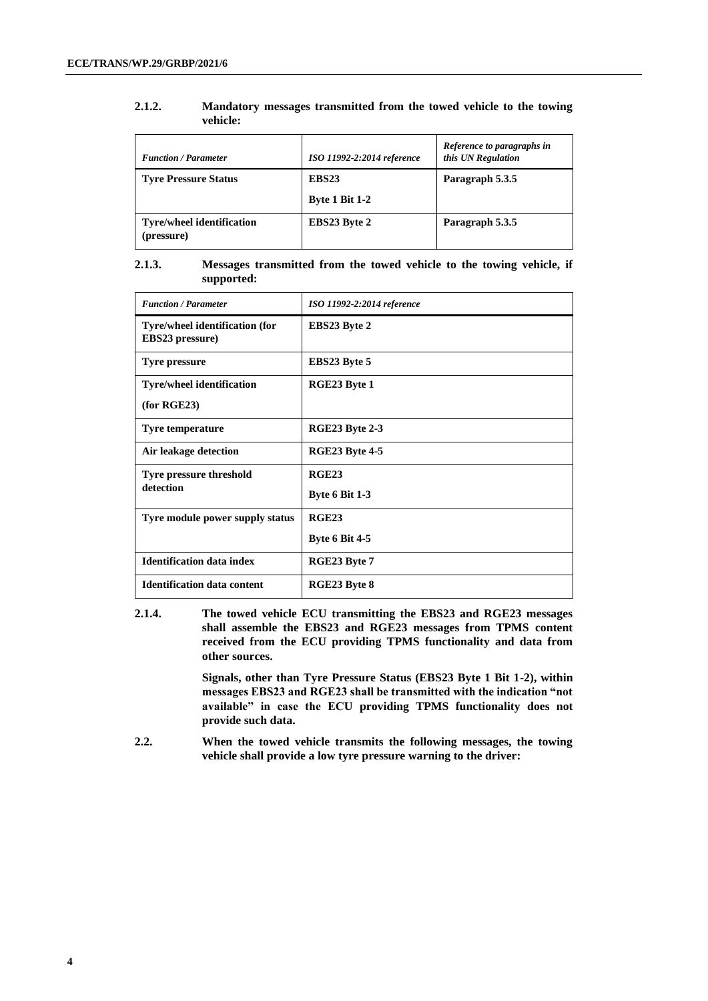| <b>Function / Parameter</b>                    | ISO 11992-2:2014 reference                 | Reference to paragraphs in<br>this UN Regulation |
|------------------------------------------------|--------------------------------------------|--------------------------------------------------|
| <b>Tyre Pressure Status</b>                    | EBS <sub>23</sub><br><b>Byte 1 Bit 1-2</b> | Paragraph 5.3.5                                  |
| <b>Tyre/wheel identification</b><br>(pressure) | <b>EBS23 Byte 2</b>                        | Paragraph 5.3.5                                  |

#### **2.1.2. Mandatory messages transmitted from the towed vehicle to the towing vehicle:**

### **2.1.3. Messages transmitted from the towed vehicle to the towing vehicle, if supported:**

| <b>Function / Parameter</b>                              | ISO 11992-2:2014 reference |
|----------------------------------------------------------|----------------------------|
| Tyre/wheel identification (for<br><b>EBS23</b> pressure) | EBS23 Byte 2               |
| <b>Tyre pressure</b>                                     | <b>EBS23 Byte 5</b>        |
| <b>Tyre/wheel identification</b>                         | RGE23 Byte 1               |
| (for RGE23)                                              |                            |
| <b>Tyre temperature</b>                                  | RGE23 Byte 2-3             |
| Air leakage detection                                    | <b>RGE23 Byte 4-5</b>      |
| <b>Tyre pressure threshold</b>                           | RGE23                      |
| detection                                                | <b>Byte 6 Bit 1-3</b>      |
| Tyre module power supply status                          | RGE23                      |
|                                                          | <b>Byte 6 Bit 4-5</b>      |
| <b>Identification data index</b>                         | RGE23 Byte 7               |
| <b>Identification data content</b>                       | RGE23 Byte 8               |

**2.1.4. The towed vehicle ECU transmitting the EBS23 and RGE23 messages shall assemble the EBS23 and RGE23 messages from TPMS content received from the ECU providing TPMS functionality and data from other sources.**

> **Signals, other than Tyre Pressure Status (EBS23 Byte 1 Bit 1-2), within messages EBS23 and RGE23 shall be transmitted with the indication "not available" in case the ECU providing TPMS functionality does not provide such data.**

**2.2. When the towed vehicle transmits the following messages, the towing vehicle shall provide a low tyre pressure warning to the driver:**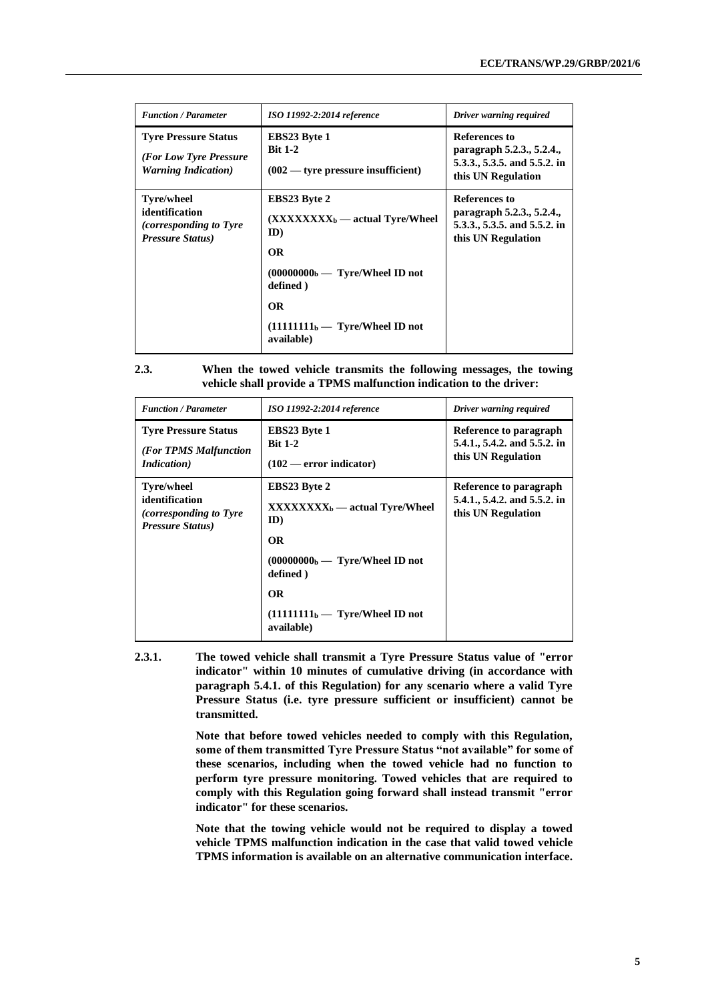| <b>Function / Parameter</b>                                                                       | ISO 11992-2:2014 reference                                                              | Driver warning required                                                                                 |
|---------------------------------------------------------------------------------------------------|-----------------------------------------------------------------------------------------|---------------------------------------------------------------------------------------------------------|
| <b>Tyre Pressure Status</b><br>(For Low Tyre Pressure<br><b>Warning Indication</b> )              | <b>EBS23 Byte 1</b><br><b>Bit 1-2</b><br>$(002 \rightarrow$ tyre pressure insufficient) | <b>References to</b><br>paragraph 5.2.3., 5.2.4.,<br>5.3.3., 5.3.5. and 5.5.2. in<br>this UN Regulation |
| <b>Tyre/wheel</b><br>identification<br><i>(corresponding to Tyre)</i><br><b>Pressure Status</b> ) | <b>EBS23 Byte 2</b><br>$(XXXXXX_{b} - actual Type/Wheel$<br>ID)<br><b>OR</b>            | References to<br>paragraph 5.2.3., 5.2.4.,<br>5.3.3., 5.3.5. and 5.5.2. in<br>this UN Regulation        |
|                                                                                                   | $(00000000b - \text{Type/Wheel ID not})$<br>defined)                                    |                                                                                                         |
|                                                                                                   | <b>OR</b><br>$(11111111b - \text{Type/Wheel ID not})$<br>available)                     |                                                                                                         |

| 2.3. | When the towed vehicle transmits the following messages, the towing |
|------|---------------------------------------------------------------------|
|      | vehicle shall provide a TPMS malfunction indication to the driver:  |

| <b>Function / Parameter</b>                                                                       | ISO 11992-2:2014 reference                                                                                                                                                                                             | Driver warning required                                                      |
|---------------------------------------------------------------------------------------------------|------------------------------------------------------------------------------------------------------------------------------------------------------------------------------------------------------------------------|------------------------------------------------------------------------------|
| <b>Tyre Pressure Status</b><br>(For TPMS Malfunction<br><i>Indication</i> )                       | <b>EBS23 Byte 1</b><br><b>Bit 1-2</b><br>$(102 - error indicator)$                                                                                                                                                     | Reference to paragraph<br>5.4.1., 5.4.2. and 5.5.2. in<br>this UN Regulation |
| <b>Tyre/wheel</b><br>identification<br><i>(corresponding to Tyre)</i><br><b>Pressure Status</b> ) | <b>EBS23 Byte 2</b><br>$\bf XXXXXXX_b \rightarrow$ actual Tyre/Wheel<br>ID)<br><b>OR</b><br>$(0000000b - \text{Type/Wheel ID not})$<br>defined)<br><b>OR</b><br>$(11111111b - \text{Type/Wheel ID not})$<br>available) | Reference to paragraph<br>5.4.1., 5.4.2. and 5.5.2. in<br>this UN Regulation |

**2.3.1. The towed vehicle shall transmit a Tyre Pressure Status value of "error indicator" within 10 minutes of cumulative driving (in accordance with paragraph 5.4.1. of this Regulation) for any scenario where a valid Tyre Pressure Status (i.e. tyre pressure sufficient or insufficient) cannot be transmitted.**

> **Note that before towed vehicles needed to comply with this Regulation, some of them transmitted Tyre Pressure Status "not available" for some of these scenarios, including when the towed vehicle had no function to perform tyre pressure monitoring. Towed vehicles that are required to comply with this Regulation going forward shall instead transmit "error indicator" for these scenarios.**

> **Note that the towing vehicle would not be required to display a towed vehicle TPMS malfunction indication in the case that valid towed vehicle TPMS information is available on an alternative communication interface.**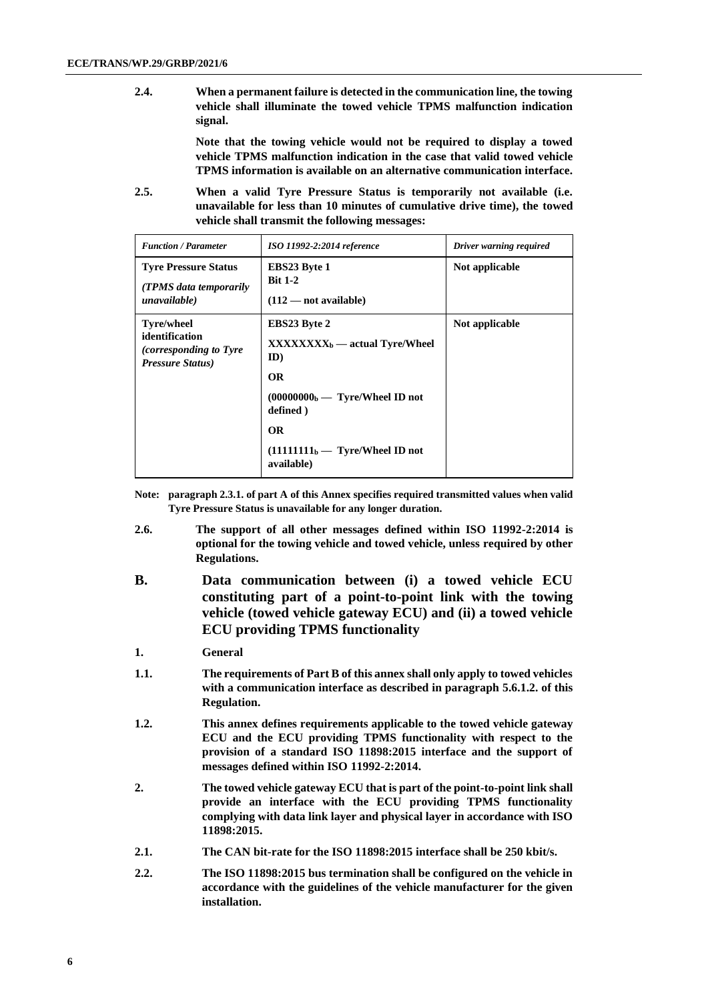**2.4. When a permanent failure is detected in the communication line, the towing vehicle shall illuminate the towed vehicle TPMS malfunction indication signal.**

> **Note that the towing vehicle would not be required to display a towed vehicle TPMS malfunction indication in the case that valid towed vehicle TPMS information is available on an alternative communication interface.**

**2.5. When a valid Tyre Pressure Status is temporarily not available (i.e. unavailable for less than 10 minutes of cumulative drive time), the towed vehicle shall transmit the following messages:**

| <b>Function / Parameter</b>                                                                       | ISO 11992-2:2014 reference                                                                                                                                                                                             | Driver warning required |
|---------------------------------------------------------------------------------------------------|------------------------------------------------------------------------------------------------------------------------------------------------------------------------------------------------------------------------|-------------------------|
| <b>Tyre Pressure Status</b><br>(TPMS data temporarily)<br>unavailable)                            | <b>EBS23 Byte 1</b><br><b>Bit 1-2</b><br>$(112 - not available)$                                                                                                                                                       | Not applicable          |
| <b>Tyre/wheel</b><br>identification<br><i>(corresponding to Tyre)</i><br><b>Pressure Status</b> ) | <b>EBS23 Byte 2</b><br>$\bf XXXXXXX_b \rightarrow$ actual Tyre/Wheel<br>ID)<br><b>OR</b><br>$(0000000b - \text{Type/Wheel ID not})$<br>defined)<br><b>OR</b><br>$(11111111b - \text{Type/Wheel ID not})$<br>available) | Not applicable          |

- **Note: paragraph 2.3.1. of part A of this Annex specifies required transmitted values when valid Tyre Pressure Status is unavailable for any longer duration.**
- **2.6. The support of all other messages defined within ISO 11992-2:2014 is optional for the towing vehicle and towed vehicle, unless required by other Regulations.**
- **B. Data communication between (i) a towed vehicle ECU constituting part of a point-to-point link with the towing vehicle (towed vehicle gateway ECU) and (ii) a towed vehicle ECU providing TPMS functionality**
- **1. General**
- **1.1. The requirements of Part B of this annex shall only apply to towed vehicles with a communication interface as described in paragraph 5.6.1.2. of this Regulation.**
- **1.2. This annex defines requirements applicable to the towed vehicle gateway ECU and the ECU providing TPMS functionality with respect to the provision of a standard ISO 11898:2015 interface and the support of messages defined within ISO 11992-2:2014.**
- **2. The towed vehicle gateway ECU that is part of the point-to-point link shall provide an interface with the ECU providing TPMS functionality complying with data link layer and physical layer in accordance with ISO 11898:2015.**
- **2.1. The CAN bit-rate for the ISO 11898:2015 interface shall be 250 kbit/s.**
- **2.2. The ISO 11898:2015 bus termination shall be configured on the vehicle in accordance with the guidelines of the vehicle manufacturer for the given installation.**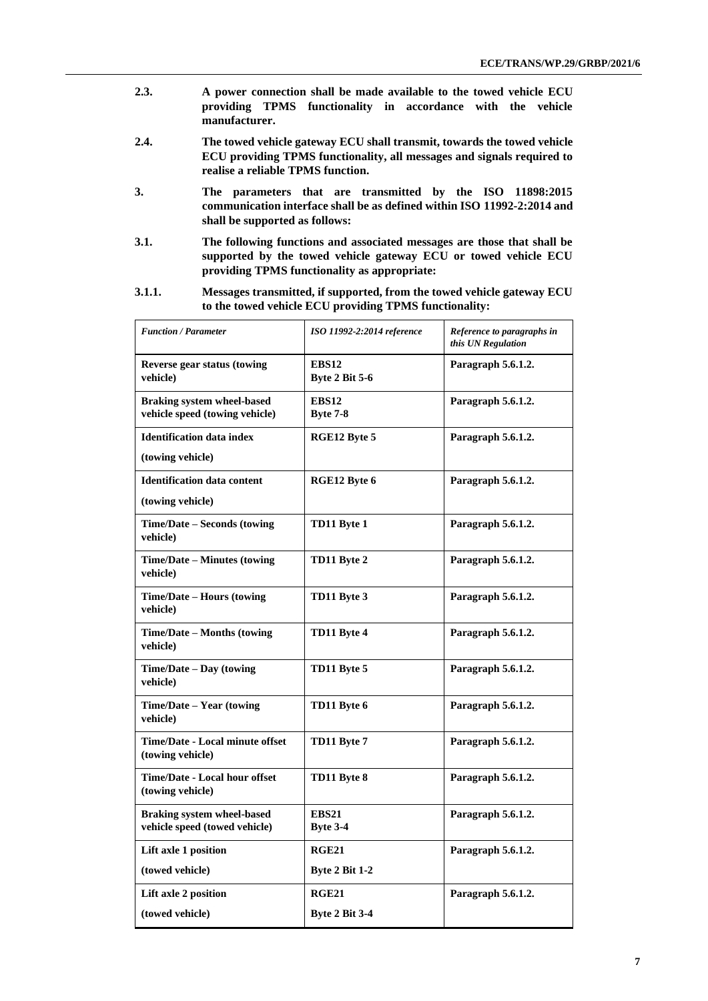- **2.3. A power connection shall be made available to the towed vehicle ECU providing TPMS functionality in accordance with the vehicle manufacturer.**
- **2.4. The towed vehicle gateway ECU shall transmit, towards the towed vehicle ECU providing TPMS functionality, all messages and signals required to realise a reliable TPMS function.**
- **3. The parameters that are transmitted by the ISO 11898:2015 communication interface shall be as defined within ISO 11992-2:2014 and shall be supported as follows:**
- **3.1. The following functions and associated messages are those that shall be supported by the towed vehicle gateway ECU or towed vehicle ECU providing TPMS functionality as appropriate:**
- **3.1.1. Messages transmitted, if supported, from the towed vehicle gateway ECU to the towed vehicle ECU providing TPMS functionality:**

| <b>Function / Parameter</b>                                         | ISO 11992-2:2014 reference            | Reference to paragraphs in<br>this UN Regulation |
|---------------------------------------------------------------------|---------------------------------------|--------------------------------------------------|
| <b>Reverse gear status (towing</b><br>vehicle)                      | <b>EBS12</b><br><b>Byte 2 Bit 5-6</b> | Paragraph 5.6.1.2.                               |
| <b>Braking system wheel-based</b><br>vehicle speed (towing vehicle) | <b>EBS12</b><br><b>Byte 7-8</b>       | Paragraph 5.6.1.2.                               |
| <b>Identification data index</b>                                    | RGE12 Byte 5                          | Paragraph 5.6.1.2.                               |
| (towing vehicle)                                                    |                                       |                                                  |
| <b>Identification data content</b>                                  | RGE12 Byte 6                          | Paragraph 5.6.1.2.                               |
| (towing vehicle)                                                    |                                       |                                                  |
| Time/Date – Seconds (towing<br>vehicle)                             | TD11 Byte 1                           | Paragraph 5.6.1.2.                               |
| Time/Date – Minutes (towing<br>vehicle)                             | TD11 Byte 2                           | Paragraph 5.6.1.2.                               |
| Time/Date – Hours (towing<br>vehicle)                               | TD11 Byte 3                           | Paragraph 5.6.1.2.                               |
| Time/Date – Months (towing<br>vehicle)                              | TD11 Byte 4                           | Paragraph 5.6.1.2.                               |
| Time/Date – Day (towing<br>vehicle)                                 | TD11 Byte 5                           | Paragraph 5.6.1.2.                               |
| Time/Date - Year (towing<br>vehicle)                                | TD11 Byte 6                           | Paragraph 5.6.1.2.                               |
| Time/Date - Local minute offset<br>(towing vehicle)                 | TD11 Byte 7                           | Paragraph 5.6.1.2.                               |
| <b>Time/Date - Local hour offset</b><br>(towing vehicle)            | TD11 Byte 8                           | Paragraph 5.6.1.2.                               |
| <b>Braking system wheel-based</b><br>vehicle speed (towed vehicle)  | <b>EBS21</b><br>Byte 3-4              | Paragraph 5.6.1.2.                               |
| Lift axle 1 position                                                | <b>RGE21</b>                          | Paragraph 5.6.1.2.                               |
| (towed vehicle)                                                     | Byte 2 Bit 1-2                        |                                                  |
| Lift axle 2 position                                                | <b>RGE21</b>                          | Paragraph 5.6.1.2.                               |
| (towed vehicle)                                                     | <b>Byte 2 Bit 3-4</b>                 |                                                  |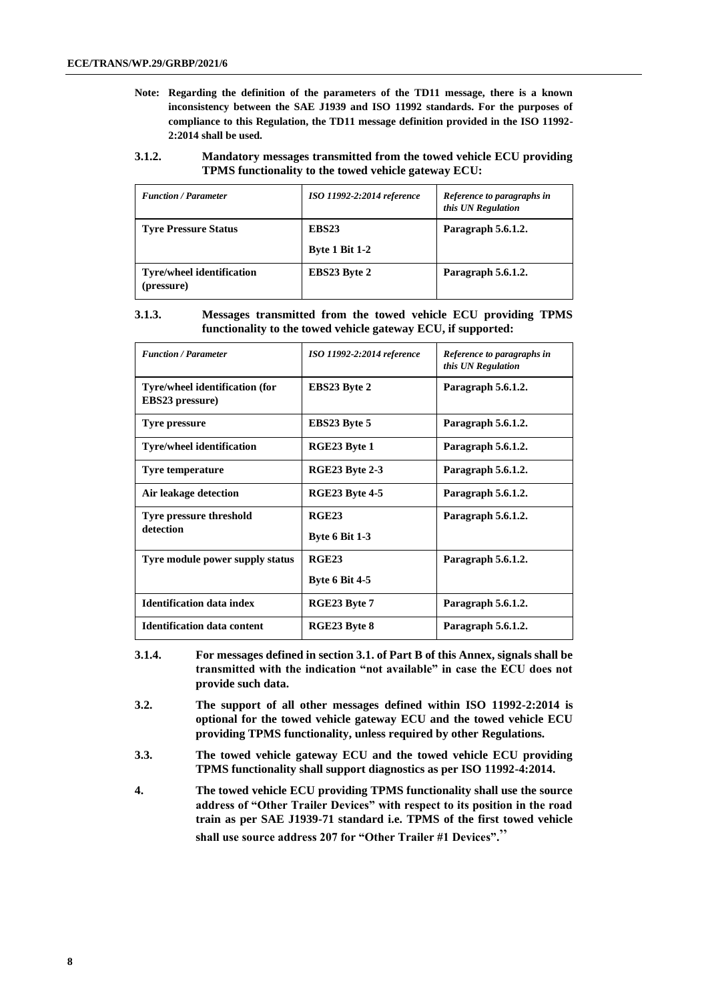- **Note: Regarding the definition of the parameters of the TD11 message, there is a known inconsistency between the SAE J1939 and ISO 11992 standards. For the purposes of compliance to this Regulation, the TD11 message definition provided in the ISO 11992- 2:2014 shall be used.**
- **3.1.2. Mandatory messages transmitted from the towed vehicle ECU providing TPMS functionality to the towed vehicle gateway ECU:**

| <b>Function / Parameter</b>                    | ISO 11992-2:2014 reference                 | Reference to paragraphs in<br>this UN Regulation |
|------------------------------------------------|--------------------------------------------|--------------------------------------------------|
| <b>Tyre Pressure Status</b>                    | EBS <sub>23</sub><br><b>Byte 1 Bit 1-2</b> | Paragraph 5.6.1.2.                               |
| <b>Tyre/wheel identification</b><br>(pressure) | <b>EBS23 Byte 2</b>                        | Paragraph 5.6.1.2.                               |

#### **3.1.3. Messages transmitted from the towed vehicle ECU providing TPMS functionality to the towed vehicle gateway ECU, if supported:**

| <b>Function / Parameter</b>                              | ISO 11992-2:2014 reference     | Reference to paragraphs in<br>this UN Regulation |
|----------------------------------------------------------|--------------------------------|--------------------------------------------------|
| Tyre/wheel identification (for<br><b>EBS23</b> pressure) | <b>EBS23 Byte 2</b>            | Paragraph 5.6.1.2.                               |
| Tyre pressure                                            | EBS23 Byte 5                   | Paragraph 5.6.1.2.                               |
| <b>Tyre/wheel identification</b>                         | RGE23 Byte 1                   | Paragraph 5.6.1.2.                               |
| <b>Tyre temperature</b>                                  | <b>RGE23 Byte 2-3</b>          | Paragraph 5.6.1.2.                               |
| Air leakage detection                                    | <b>RGE23 Byte 4-5</b>          | Paragraph 5.6.1.2.                               |
| <b>Tyre pressure threshold</b><br>detection              | RGE23<br><b>Byte 6 Bit 1-3</b> | Paragraph 5.6.1.2.                               |
| Tyre module power supply status                          | RGE23<br><b>Byte 6 Bit 4-5</b> | Paragraph 5.6.1.2.                               |
| <b>Identification data index</b>                         | RGE23 Byte 7                   | Paragraph 5.6.1.2.                               |
| <b>Identification data content</b>                       | RGE23 Byte 8                   | Paragraph 5.6.1.2.                               |

- **3.1.4. For messages defined in section 3.1. of Part B of this Annex, signals shall be transmitted with the indication "not available" in case the ECU does not provide such data.**
- **3.2. The support of all other messages defined within ISO 11992-2:2014 is optional for the towed vehicle gateway ECU and the towed vehicle ECU providing TPMS functionality, unless required by other Regulations.**
- **3.3. The towed vehicle gateway ECU and the towed vehicle ECU providing TPMS functionality shall support diagnostics as per ISO 11992-4:2014.**
- **4. The towed vehicle ECU providing TPMS functionality shall use the source address of "Other Trailer Devices" with respect to its position in the road train as per SAE J1939-71 standard i.e. TPMS of the first towed vehicle shall use source address 207 for "Other Trailer #1 Devices".**"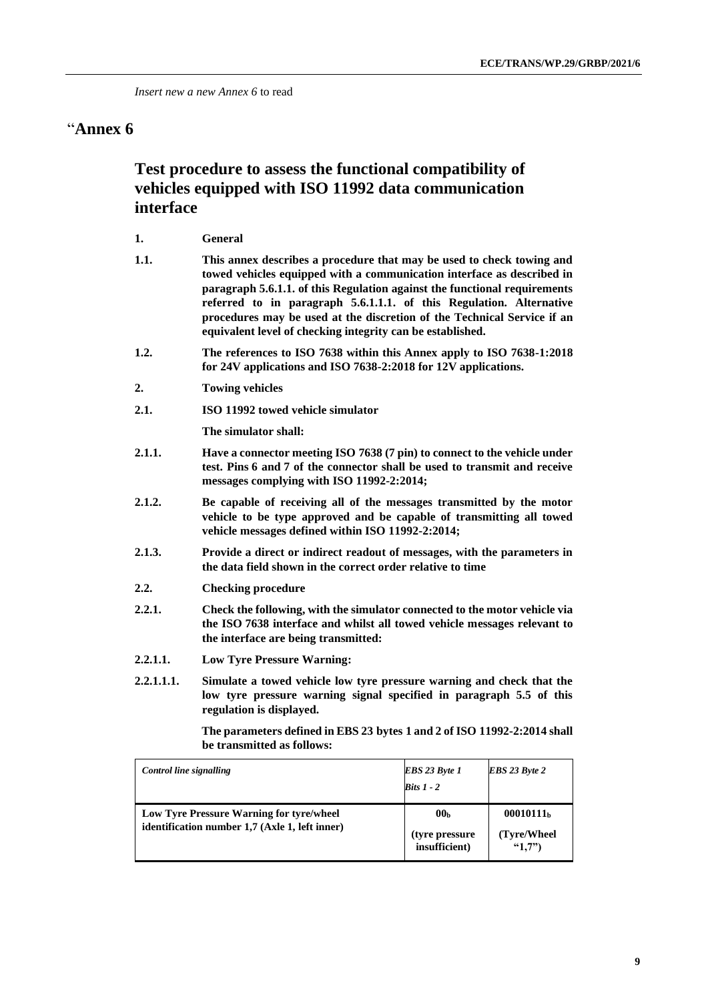### "**Annex 6**

### **Test procedure to assess the functional compatibility of vehicles equipped with ISO 11992 data communication interface**

| <b>General</b> |
|----------------|
|                |

- **1.1. This annex describes a procedure that may be used to check towing and towed vehicles equipped with a communication interface as described in paragraph 5.6.1.1. of this Regulation against the functional requirements referred to in paragraph 5.6.1.1.1. of this Regulation. Alternative procedures may be used at the discretion of the Technical Service if an equivalent level of checking integrity can be established.**
- **1.2. The references to ISO 7638 within this Annex apply to ISO 7638-1:2018 for 24V applications and ISO 7638-2:2018 for 12V applications.**
- **2. Towing vehicles**
- **2.1. ISO 11992 towed vehicle simulator**

**The simulator shall:**

- **2.1.1. Have a connector meeting ISO 7638 (7 pin) to connect to the vehicle under test. Pins 6 and 7 of the connector shall be used to transmit and receive messages complying with ISO 11992-2:2014;**
- **2.1.2. Be capable of receiving all of the messages transmitted by the motor vehicle to be type approved and be capable of transmitting all towed vehicle messages defined within ISO 11992-2:2014;**
- **2.1.3. Provide a direct or indirect readout of messages, with the parameters in the data field shown in the correct order relative to time**
- **2.2. Checking procedure**
- **2.2.1. Check the following, with the simulator connected to the motor vehicle via the ISO 7638 interface and whilst all towed vehicle messages relevant to the interface are being transmitted:**
- **2.2.1.1. Low Tyre Pressure Warning:**
- **2.2.1.1.1. Simulate a towed vehicle low tyre pressure warning and check that the low tyre pressure warning signal specified in paragraph 5.5 of this regulation is displayed.**

 **The parameters defined in EBS 23 bytes 1 and 2 of ISO 11992-2:2014 shall be transmitted as follows:**

| Control line signalling                                                                    | EBS 23 Byte 1<br><b>Bits 1</b> - 2                 | <b>EBS</b> 23 Byte 2                |
|--------------------------------------------------------------------------------------------|----------------------------------------------------|-------------------------------------|
| Low Tyre Pressure Warning for tyre/wheel<br>identification number 1,7 (Axle 1, left inner) | 00 <sub>b</sub><br>(tyre pressure<br>insufficient) | 00010111b<br>(Tyre/Wheel)<br>(4.7") |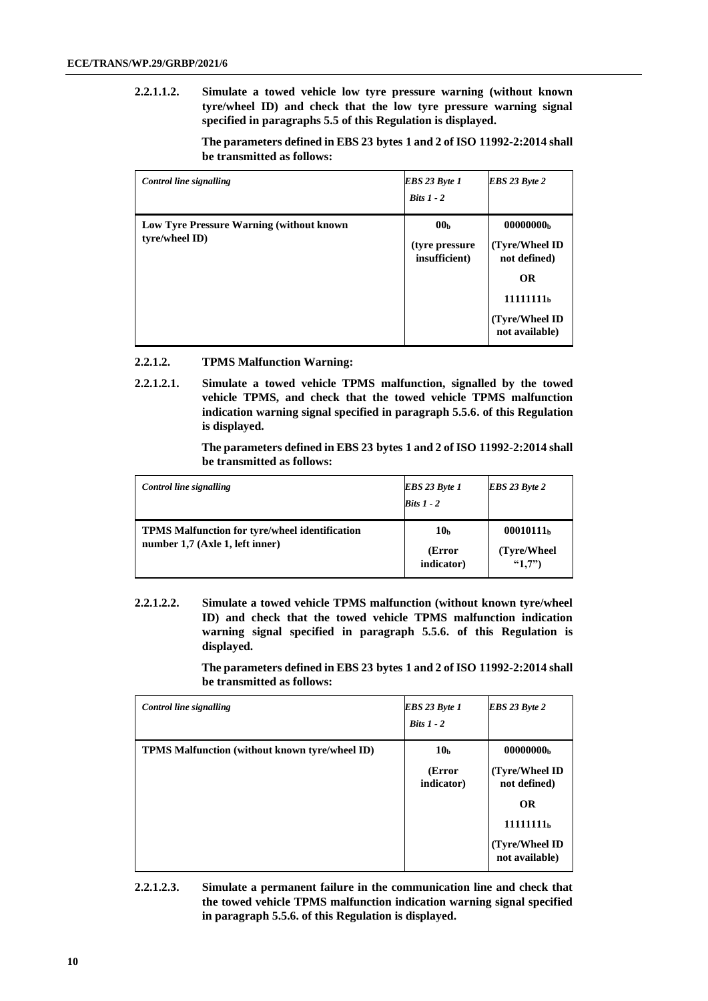**2.2.1.1.2. Simulate a towed vehicle low tyre pressure warning (without known tyre/wheel ID) and check that the low tyre pressure warning signal specified in paragraphs 5.5 of this Regulation is displayed.**

> **The parameters defined in EBS 23 bytes 1 and 2 of ISO 11992-2:2014 shall be transmitted as follows:**

| Control line signalling                                     | <b>EBS</b> 23 Byte 1<br>$Bits 1 - 2$                | EBS 23 Byte 2                                                                                                                     |
|-------------------------------------------------------------|-----------------------------------------------------|-----------------------------------------------------------------------------------------------------------------------------------|
| Low Tyre Pressure Warning (without known)<br>tyre/wheel ID) | 00 <sub>b</sub><br>(tyre pressure)<br>insufficient) | 00000000 <sub>b</sub><br>(Tyre/Wheel ID<br>not defined)<br><b>OR</b><br>11111111 <sub>h</sub><br>(Tyre/Wheel ID<br>not available) |

### **2.2.1.2. TPMS Malfunction Warning:**

**2.2.1.2.1. Simulate a towed vehicle TPMS malfunction, signalled by the towed vehicle TPMS, and check that the towed vehicle TPMS malfunction indication warning signal specified in paragraph 5.5.6. of this Regulation is displayed.**

> **The parameters defined in EBS 23 bytes 1 and 2 of ISO 11992-2:2014 shall be transmitted as follows:**

| Control line signalling                                                                  | <b>EBS</b> 23 Byte 1<br>$Bits 1 - 2$    | <b>EBS</b> 23 Byte 2                            |
|------------------------------------------------------------------------------------------|-----------------------------------------|-------------------------------------------------|
| <b>TPMS Malfunction for tyre/wheel identification</b><br>number 1,7 (Axle 1, left inner) | 10 <sub>b</sub><br>(Error<br>indicator) | 00010111 <sub>b</sub><br>(Tyre/Wheel)<br>(4.7") |

**2.2.1.2.2. Simulate a towed vehicle TPMS malfunction (without known tyre/wheel ID) and check that the towed vehicle TPMS malfunction indication warning signal specified in paragraph 5.5.6. of this Regulation is displayed.**

> **The parameters defined in EBS 23 bytes 1 and 2 of ISO 11992-2:2014 shall be transmitted as follows:**

| Control line signalling                               | EBS 23 Byte 1<br>$Risk 1 - 2$           | <b>EBS</b> 23 Byte 2                                                                                                                |
|-------------------------------------------------------|-----------------------------------------|-------------------------------------------------------------------------------------------------------------------------------------|
| <b>TPMS Malfunction (without known tyre/wheel ID)</b> | 10 <sub>b</sub><br>(Error<br>indicator) | 00000000 <sub>b</sub><br>(Tyre/Wheel ID)<br>not defined)<br><b>OR</b><br>11111111 <sub>b</sub><br>(Tyre/Wheel ID)<br>not available) |

**2.2.1.2.3. Simulate a permanent failure in the communication line and check that the towed vehicle TPMS malfunction indication warning signal specified in paragraph 5.5.6. of this Regulation is displayed.**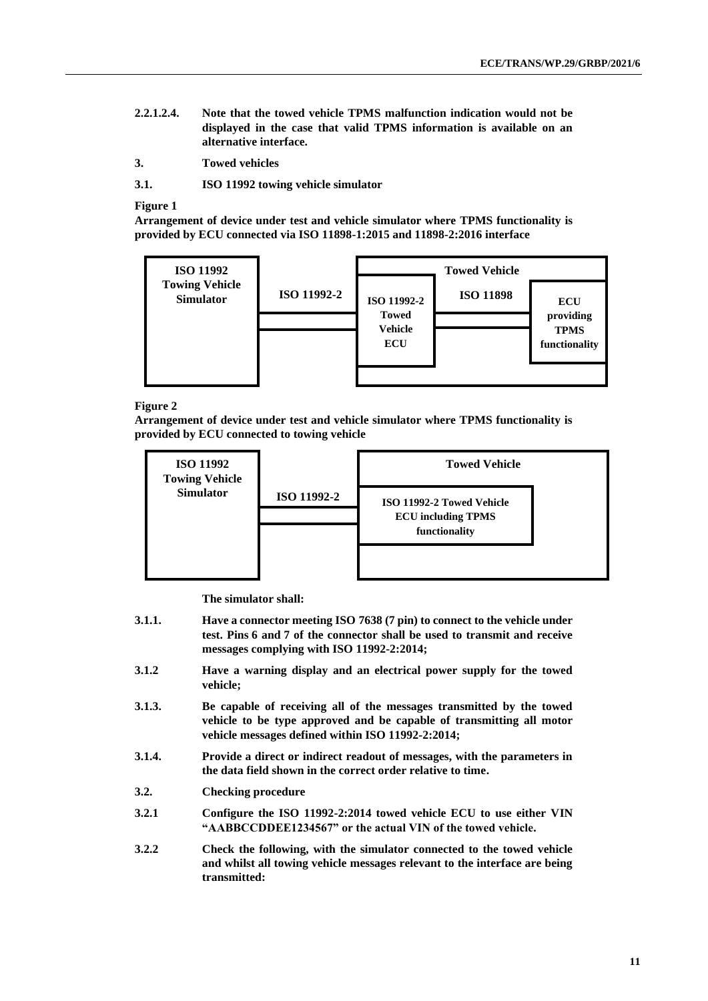- **2.2.1.2.4. Note that the towed vehicle TPMS malfunction indication would not be displayed in the case that valid TPMS information is available on an alternative interface.**
- **3. Towed vehicles**

**3.1. ISO 11992 towing vehicle simulator**

#### **Figure 1**

**Arrangement of device under test and vehicle simulator where TPMS functionality is provided by ECU connected via ISO 11898-1:2015 and 11898-2:2016 interface**



#### **Figure 2**

**Arrangement of device under test and vehicle simulator where TPMS functionality is provided by ECU connected to towing vehicle**



**The simulator shall:**

- **3.1.1. Have a connector meeting ISO 7638 (7 pin) to connect to the vehicle under test. Pins 6 and 7 of the connector shall be used to transmit and receive messages complying with ISO 11992-2:2014;**
- **3.1.2 Have a warning display and an electrical power supply for the towed vehicle;**
- **3.1.3. Be capable of receiving all of the messages transmitted by the towed vehicle to be type approved and be capable of transmitting all motor vehicle messages defined within ISO 11992-2:2014;**
- **3.1.4. Provide a direct or indirect readout of messages, with the parameters in the data field shown in the correct order relative to time.**
- **3.2. Checking procedure**
- **3.2.1 Configure the ISO 11992-2:2014 towed vehicle ECU to use either VIN "AABBCCDDEE1234567" or the actual VIN of the towed vehicle.**
- **3.2.2 Check the following, with the simulator connected to the towed vehicle and whilst all towing vehicle messages relevant to the interface are being transmitted:**